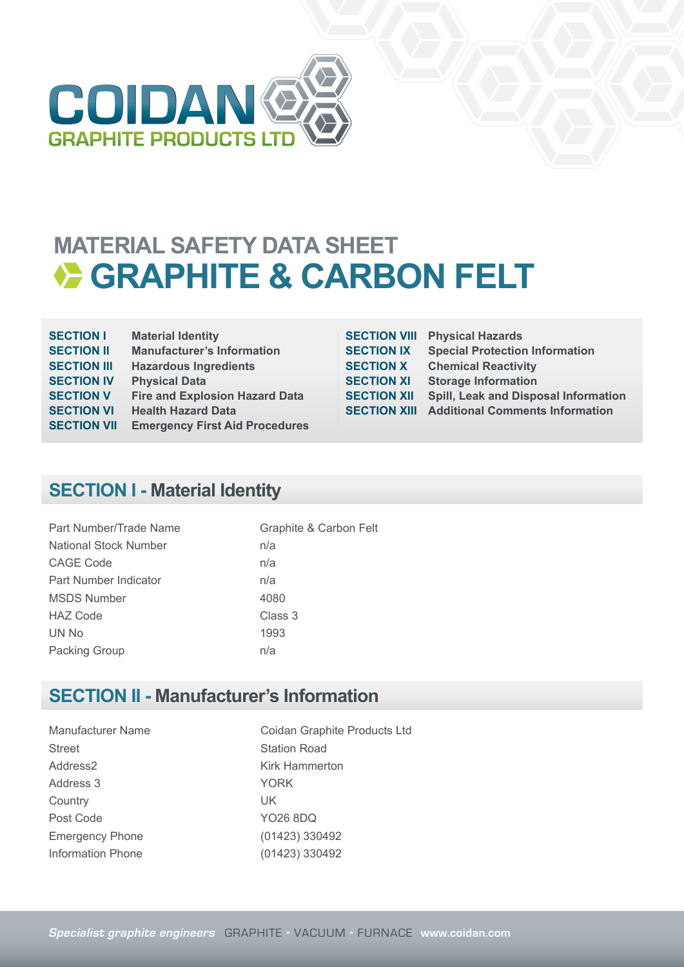

## **MATERIAL SAFETY DATA SHEET EXAMPLE & CARBON FELT**

| <b>SECTION I</b>   | <b>Material Identity</b>              |
|--------------------|---------------------------------------|
| <b>SECTION II</b>  | <b>Manufacturer's Information</b>     |
| <b>SECTION III</b> | <b>Hazardous Ingredients</b>          |
| <b>SECTION IV</b>  | <b>Physical Data</b>                  |
| <b>SECTION V</b>   | <b>Fire and Explosion Hazard Data</b> |
| <b>SECTION VI</b>  | <b>Health Hazard Data</b>             |
| <b>SECTION VII</b> | <b>Emergency First Aid Procedures</b> |
|                    |                                       |

| <b>SECTION VIII</b> | <b>Physical Hazards</b>                     |
|---------------------|---------------------------------------------|
| <b>SECTION IX</b>   | <b>Special Protection Information</b>       |
| <b>SECTION X</b>    | <b>Chemical Reactivity</b>                  |
| <b>SECTION XI</b>   | <b>Storage Information</b>                  |
| <b>SECTION XII</b>  | <b>Spill, Leak and Disposal Information</b> |
| <b>SECTION XIII</b> | <b>Additional Comments Information</b>      |
|                     |                                             |

## **SECTION I - Material Identity**

| Part Number/Trade Name       | Graphite & Carbon Felt |
|------------------------------|------------------------|
| <b>National Stock Number</b> | n/a                    |
| CAGE Code                    | n/a                    |
| Part Number Indicator        | n/a                    |
| <b>MSDS Number</b>           | 4080                   |
| <b>HAZ Code</b>              | Class 3                |
| UN No                        | 1993                   |
| Packing Group                | n/a                    |

#### **SECTION II - Manufacturer's Information**

Street Station Road Address2 Kirk Hammerton Address 3 YORK Country UK Post Code YO26 8DQ Emergency Phone (01423) 330492 Information Phone (01423) 330492

Manufacturer Name Coidan Graphite Products Ltd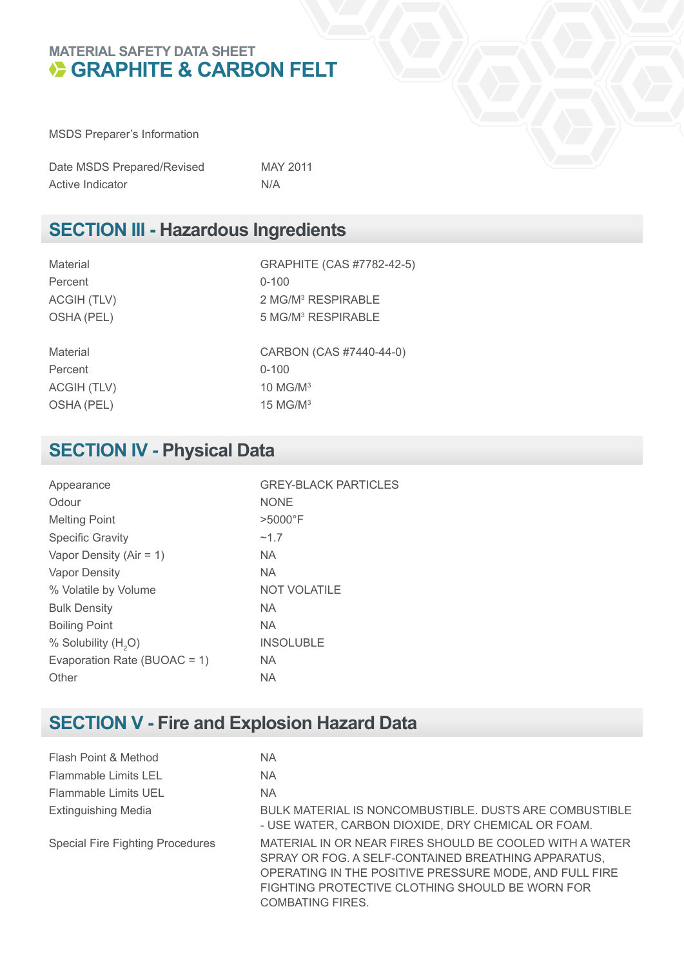#### **MATERIAL SAFETY DATA SHEET BEARFHITE & CARBON FELT**

MSDS Preparer's Information

| Date MSDS Prepared/Revised | <b>MAY 2011</b> |
|----------------------------|-----------------|
| Active Indicator           | N/A             |

#### **SECTION III - Hazardous Ingredients**

Material GRAPHITE (CAS #7782-42-5) Percent 0-100 ACGIH (TLV) OSHA (PEL)

Percent 0-100 ACGIH (TLV) 10 MG/M<sup>3</sup> OSHA (PEL) 15 MG/M<sup>3</sup>

2 MG/M<sup>3</sup> RESPIRABLE 5 MG/M<sup>3</sup> RESPIRABLE

Material CARBON (CAS #7440-44-0)

## **SECTION IV - Physical Data**

| Appearance                      | <b>GREY-BLACK PARTICLES</b> |
|---------------------------------|-----------------------------|
| Odour                           | <b>NONE</b>                 |
| <b>Melting Point</b>            | $>5000$ °F                  |
| <b>Specific Gravity</b>         | ~1.7                        |
| Vapor Density ( $Air = 1$ )     | <b>NA</b>                   |
| <b>Vapor Density</b>            | <b>NA</b>                   |
| % Volatile by Volume            | <b>NOT VOLATILE</b>         |
| <b>Bulk Density</b>             | <b>NA</b>                   |
| <b>Boiling Point</b>            | <b>NA</b>                   |
| % Solubility (H <sub>2</sub> O) | <b>INSOLUBLE</b>            |
| Evaporation Rate (BUOAC = 1)    | <b>NA</b>                   |
| Other                           | NА                          |

## **SECTION V - Fire and Explosion Hazard Data**

| Flash Point & Method                    | ΝA                                                                                                                                                                                                                                                     |
|-----------------------------------------|--------------------------------------------------------------------------------------------------------------------------------------------------------------------------------------------------------------------------------------------------------|
| Flammable Limits LEL                    | ΝA                                                                                                                                                                                                                                                     |
| Flammable Limits UEL                    | ΝA                                                                                                                                                                                                                                                     |
| <b>Extinguishing Media</b>              | <b>BULK MATERIAL IS NONCOMBUSTIBLE. DUSTS ARE COMBUSTIBLE</b><br>- USE WATER, CARBON DIOXIDE, DRY CHEMICAL OR FOAM.                                                                                                                                    |
| <b>Special Fire Fighting Procedures</b> | MATERIAL IN OR NEAR FIRES SHOULD BE COOLED WITH A WATER<br>SPRAY OR FOG. A SELF-CONTAINED BREATHING APPARATUS,<br>OPERATING IN THE POSITIVE PRESSURE MODE, AND FULL FIRE<br>FIGHTING PROTECTIVE CLOTHING SHOULD BE WORN FOR<br><b>COMBATING FIRES.</b> |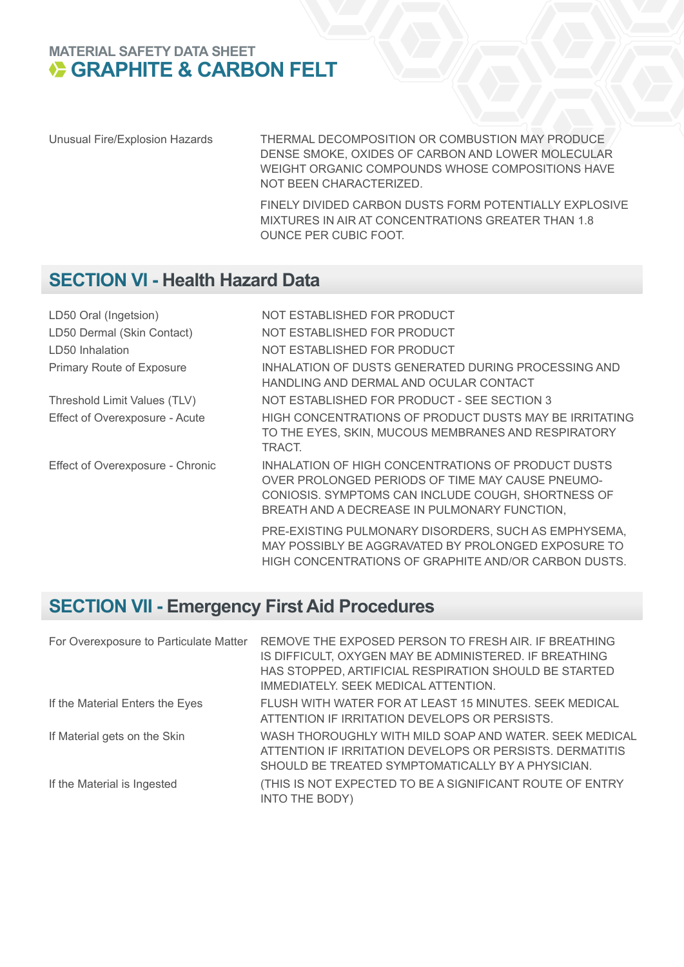# **MATERIAL SAFETY DATA SHEET<br>
GRAPHITE & CARBON FELT**

Unusual Fire/Explosion Hazards THERMAL DECOMPOSITION OR COMBUSTION MAY PRODUCE DENSE SMOKE, OXIDES OF CARBON AND LOWER MOLECULAR WEIGHT ORGANIC COMPOUNDS WHOSE COMPOSITIONS HAVE NOT BEEN CHARACTERIZED.

> FINELY DIVIDED CARBON DUSTS FORM POTENTIALLY EXPLOSIVE MIXTURES IN AIR AT CONCENTRATIONS GREATER THAN 1.8 OUNCE PER CUBIC FOOT.

## **SECTION VI - Health Hazard Data**

| LD50 Oral (Ingetsion)            | NOT ESTABLISHED FOR PRODUCT                                                                                                                                                                                  |
|----------------------------------|--------------------------------------------------------------------------------------------------------------------------------------------------------------------------------------------------------------|
| LD50 Dermal (Skin Contact)       | NOT ESTABLISHED FOR PRODUCT                                                                                                                                                                                  |
| LD50 Inhalation                  | NOT ESTABLISHED FOR PRODUCT                                                                                                                                                                                  |
| <b>Primary Route of Exposure</b> | INHALATION OF DUSTS GENERATED DURING PROCESSING AND<br>HANDLING AND DERMAL AND OCULAR CONTACT                                                                                                                |
| Threshold Limit Values (TLV)     | NOT ESTABLISHED FOR PRODUCT - SEE SECTION 3                                                                                                                                                                  |
| Effect of Overexposure - Acute   | HIGH CONCENTRATIONS OF PRODUCT DUSTS MAY BE IRRITATING<br>TO THE EYES, SKIN, MUCOUS MEMBRANES AND RESPIRATORY<br>TRACT.                                                                                      |
| Effect of Overexposure - Chronic | INHALATION OF HIGH CONCENTRATIONS OF PRODUCT DUSTS<br>OVER PROLONGED PERIODS OF TIME MAY CAUSE PNEUMO-<br>CONIOSIS. SYMPTOMS CAN INCLUDE COUGH, SHORTNESS OF<br>BREATH AND A DECREASE IN PULMONARY FUNCTION, |
|                                  | PRE-EXISTING PULMONARY DISORDERS, SUCH AS EMPHYSEMA,<br>MAY POSSIBLY BE AGGRAVATED BY PROLONGED EXPOSURE TO<br>HIGH CONCENTRATIONS OF GRAPHITE AND/OR CARBON DUSTS.                                          |

## **SECTION VII - Emergency First Aid Procedures**

| For Overexposure to Particulate Matter | REMOVE THE EXPOSED PERSON TO FRESH AIR. IF BREATHING<br>IS DIFFICULT, OXYGEN MAY BE ADMINISTERED. IF BREATHING<br>HAS STOPPED, ARTIFICIAL RESPIRATION SHOULD BE STARTED<br>IMMEDIATELY. SEEK MEDICAL ATTENTION. |
|----------------------------------------|-----------------------------------------------------------------------------------------------------------------------------------------------------------------------------------------------------------------|
| If the Material Enters the Eyes        | FLUSH WITH WATER FOR AT LEAST 15 MINUTES. SEEK MEDICAL<br>ATTENTION IF IRRITATION DEVELOPS OR PERSISTS.                                                                                                         |
| If Material gets on the Skin           | WASH THOROUGHLY WITH MILD SOAP AND WATER. SEEK MEDICAL<br>ATTENTION IF IRRITATION DEVELOPS OR PERSISTS. DERMATITIS<br>SHOULD BE TREATED SYMPTOMATICALLY BY A PHYSICIAN.                                         |
| If the Material is Ingested            | (THIS IS NOT EXPECTED TO BE A SIGNIFICANT ROUTE OF ENTRY<br>INTO THE BODY)                                                                                                                                      |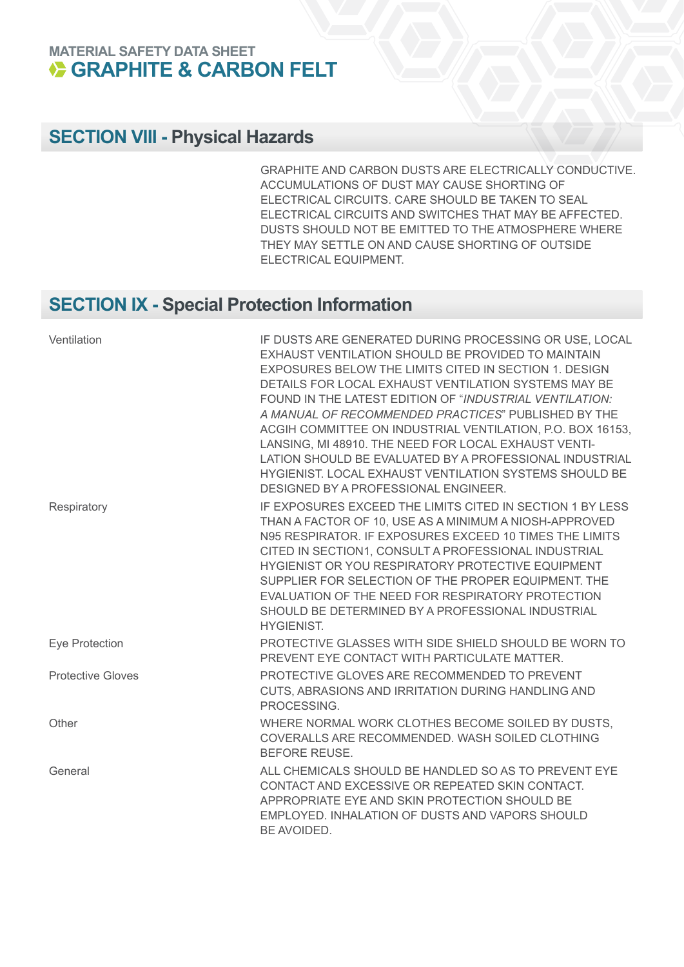#### **MATERIAL SAFETY DATA SHEET GRAPHITE & CARBON FELT**

## **SECTION VIII - Physical Hazards**

GRAPHITE AND CARBON DUSTS ARE ELECTRICALLY CONDUCTIVE. ACCUMULATIONS OF DUST MAY CAUSE SHORTING OF ELECTRICAL CIRCUITS. CARE SHOULD BE TAKEN TO SEAL ELECTRICAL CIRCUITS AND SWITCHES THAT MAY BE AFFECTED. DUSTS SHOULD NOT BE EMITTED TO THE ATMOSPHERE WHERE THEY MAY SETTLE ON AND CAUSE SHORTING OF OUTSIDE ELECTRICAL EQUIPMENT.

## **SECTION IX - Special Protection Information**

| Ventilation              | IF DUSTS ARE GENERATED DURING PROCESSING OR USE, LOCAL<br>EXHAUST VENTILATION SHOULD BE PROVIDED TO MAINTAIN<br>EXPOSURES BELOW THE LIMITS CITED IN SECTION 1. DESIGN<br>DETAILS FOR LOCAL EXHAUST VENTILATION SYSTEMS MAY BE<br>FOUND IN THE LATEST EDITION OF "INDUSTRIAL VENTILATION:<br>A MANUAL OF RECOMMENDED PRACTICES" PUBLISHED BY THE<br>ACGIH COMMITTEE ON INDUSTRIAL VENTILATION, P.O. BOX 16153,<br>LANSING, MI 48910. THE NEED FOR LOCAL EXHAUST VENTI-<br>LATION SHOULD BE EVALUATED BY A PROFESSIONAL INDUSTRIAL<br>HYGIENIST. LOCAL EXHAUST VENTILATION SYSTEMS SHOULD BE<br>DESIGNED BY A PROFESSIONAL ENGINEER. |
|--------------------------|------------------------------------------------------------------------------------------------------------------------------------------------------------------------------------------------------------------------------------------------------------------------------------------------------------------------------------------------------------------------------------------------------------------------------------------------------------------------------------------------------------------------------------------------------------------------------------------------------------------------------------|
| Respiratory              | IF EXPOSURES EXCEED THE LIMITS CITED IN SECTION 1 BY LESS<br>THAN A FACTOR OF 10, USE AS A MINIMUM A NIOSH-APPROVED<br>N95 RESPIRATOR. IF EXPOSURES EXCEED 10 TIMES THE LIMITS<br>CITED IN SECTION1, CONSULT A PROFESSIONAL INDUSTRIAL<br>HYGIENIST OR YOU RESPIRATORY PROTECTIVE EQUIPMENT<br>SUPPLIER FOR SELECTION OF THE PROPER EQUIPMENT. THE<br>EVALUATION OF THE NEED FOR RESPIRATORY PROTECTION<br>SHOULD BE DETERMINED BY A PROFESSIONAL INDUSTRIAL<br><b>HYGIENIST.</b>                                                                                                                                                  |
| Eye Protection           | PROTECTIVE GLASSES WITH SIDE SHIELD SHOULD BE WORN TO<br>PREVENT EYE CONTACT WITH PARTICULATE MATTER.                                                                                                                                                                                                                                                                                                                                                                                                                                                                                                                              |
| <b>Protective Gloves</b> | PROTECTIVE GLOVES ARE RECOMMENDED TO PREVENT<br>CUTS, ABRASIONS AND IRRITATION DURING HANDLING AND<br>PROCESSING.                                                                                                                                                                                                                                                                                                                                                                                                                                                                                                                  |
| Other                    | WHERE NORMAL WORK CLOTHES BECOME SOILED BY DUSTS,<br>COVERALLS ARE RECOMMENDED. WASH SOILED CLOTHING<br><b>BEFORE REUSE.</b>                                                                                                                                                                                                                                                                                                                                                                                                                                                                                                       |
| General                  | ALL CHEMICALS SHOULD BE HANDLED SO AS TO PREVENT EYE<br>CONTACT AND EXCESSIVE OR REPEATED SKIN CONTACT.<br>APPROPRIATE EYE AND SKIN PROTECTION SHOULD BE<br>EMPLOYED. INHALATION OF DUSTS AND VAPORS SHOULD<br>BE AVOIDED.                                                                                                                                                                                                                                                                                                                                                                                                         |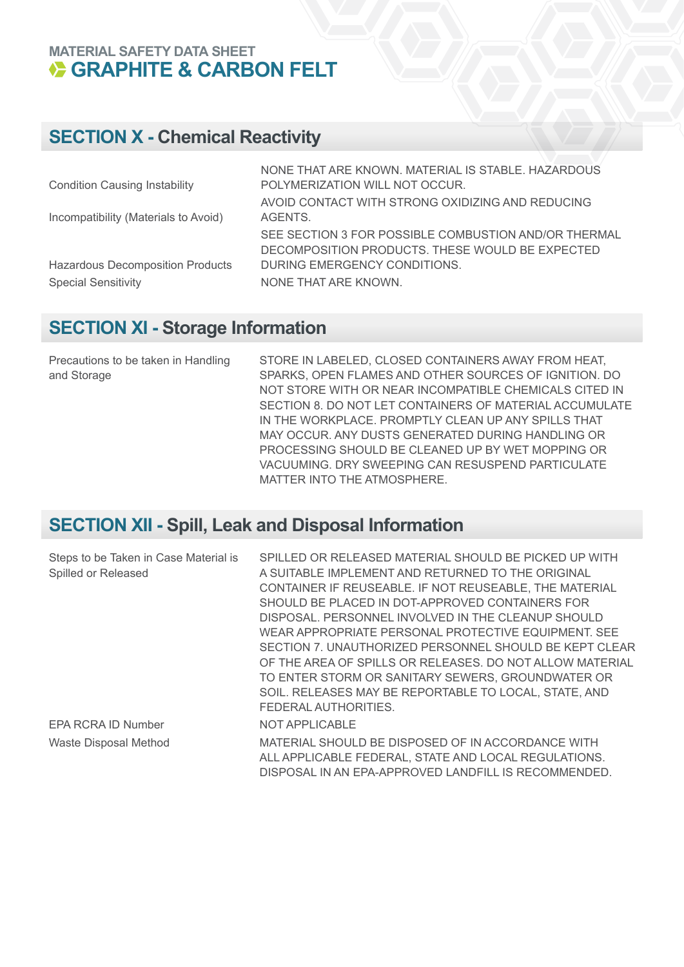## **MATERIAL SAFETY DATA SHEET<br>
GRAPHITE & CARBON FELT**

## **SECTION X - Chemical Reactivity**

|                                         | NONE THAT ARE KNOWN, MATERIAL IS STABLE, HAZARDOUS   |
|-----------------------------------------|------------------------------------------------------|
| <b>Condition Causing Instability</b>    | POLYMERIZATION WILL NOT OCCUR.                       |
|                                         | AVOID CONTACT WITH STRONG OXIDIZING AND REDUCING     |
| Incompatibility (Materials to Avoid)    | AGENTS.                                              |
|                                         | SEE SECTION 3 FOR POSSIBLE COMBUSTION AND/OR THERMAL |
|                                         | DECOMPOSITION PRODUCTS. THESE WOULD BE EXPECTED      |
| <b>Hazardous Decomposition Products</b> | DURING EMERGENCY CONDITIONS.                         |
| <b>Special Sensitivity</b>              | NONE THAT ARE KNOWN.                                 |
|                                         |                                                      |

#### **SECTION XI - Storage Information**

Precautions to be taken in Handling and Storage

STORE IN LABELED, CLOSED CONTAINERS AWAY FROM HEAT, SPARKS, OPEN FLAMES AND OTHER SOURCES OF IGNITION. DO NOT STORE WITH OR NEAR INCOMPATIBLE CHEMICALS CITED IN SECTION 8. DO NOT LET CONTAINERS OF MATERIAL ACCUMULATE IN THE WORKPLACE. PROMPTLY CLEAN UP ANY SPILLS THAT MAY OCCUR. ANY DUSTS GENERATED DURING HANDLING OR PROCESSING SHOULD BE CLEANED UP BY WET MOPPING OR VACUUMING. DRY SWEEPING CAN RESUSPEND PARTICULATE MATTER INTO THE ATMOSPHERE.

## **SECTION XII - Spill, Leak and Disposal Information**

| Steps to be Taken in Case Material is | SPILLED OR RELEASED MATERIAL SHOULD BE PICKED UP WITH    |
|---------------------------------------|----------------------------------------------------------|
| Spilled or Released                   | A SUITABLE IMPLEMENT AND RETURNED TO THE ORIGINAL        |
|                                       | CONTAINER IF REUSEABLE. IF NOT REUSEABLE, THE MATERIAL   |
|                                       | SHOULD BE PLACED IN DOT-APPROVED CONTAINERS FOR          |
|                                       | DISPOSAL. PERSONNEL INVOLVED IN THE CLEANUP SHOULD       |
|                                       | WEAR APPROPRIATE PERSONAL PROTECTIVE EQUIPMENT. SEE      |
|                                       | SECTION 7. UNAUTHORIZED PERSONNEL SHOULD BE KEPT CLEAR   |
|                                       | OF THE AREA OF SPILLS OR RELEASES. DO NOT ALLOW MATERIAL |
|                                       | TO ENTER STORM OR SANITARY SEWERS, GROUNDWATER OR        |
|                                       | SOIL. RELEASES MAY BE REPORTABLE TO LOCAL, STATE, AND    |
|                                       | FEDERAL AUTHORITIES.                                     |
| EPA RCRA ID Number                    | NOT APPLICABLE                                           |
| <b>Waste Disposal Method</b>          | MATERIAL SHOULD BE DISPOSED OF IN ACCORDANCE WITH        |
|                                       | ALL APPLICABLE FEDERAL, STATE AND LOCAL REGULATIONS.     |
|                                       | DISPOSAL IN AN EPA-APPROVED LANDFILL IS RECOMMENDED.     |